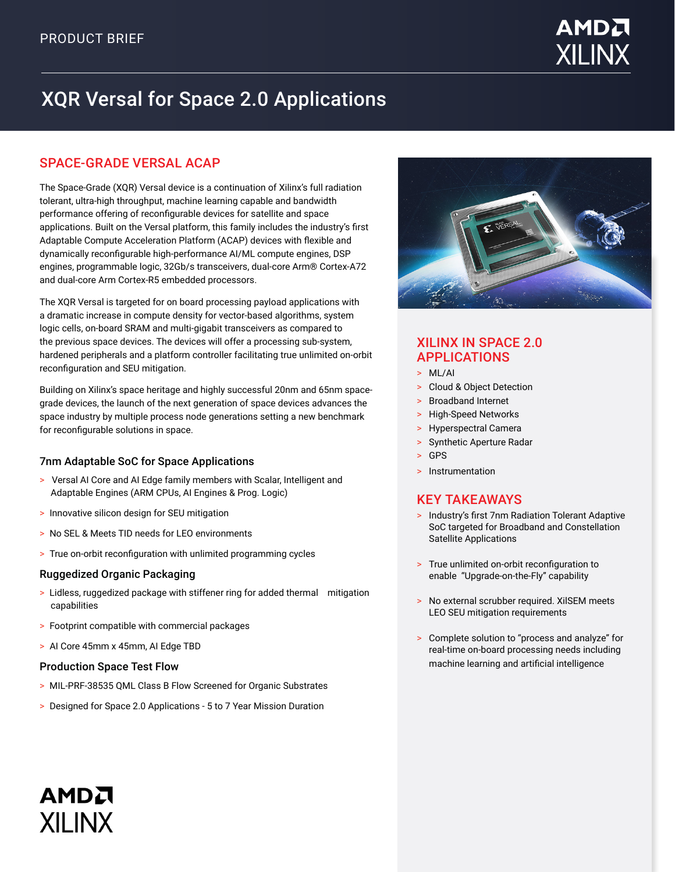

# XQR Versal for Space 2.0 Applications

# SPACE-GRADE VERSAL ACAP

The Space-Grade (XQR) Versal device is a continuation of Xilinx's full radiation tolerant, ultra-high throughput, machine learning capable and bandwidth performance offering of reconfigurable devices for satellite and space applications. Built on the Versal platform, this family includes the industry's first Adaptable Compute Acceleration Platform (ACAP) devices with flexible and dynamically reconfigurable high-performance AI/ML compute engines, DSP engines, programmable logic, 32Gb/s transceivers, dual-core Arm® Cortex-A72 and dual-core Arm Cortex-R5 embedded processors.

The XQR Versal is targeted for on board processing payload applications with a dramatic increase in compute density for vector-based algorithms, system logic cells, on-board SRAM and multi-gigabit transceivers as compared to the previous space devices. The devices will offer a processing sub-system, hardened peripherals and a platform controller facilitating true unlimited on-orbit reconfiguration and SEU mitigation.

Building on Xilinx's space heritage and highly successful 20nm and 65nm spacegrade devices, the launch of the next generation of space devices advances the space industry by multiple process node generations setting a new benchmark for reconfigurable solutions in space.

### 7nm Adaptable SoC for Space Applications

- > Versal AI Core and AI Edge family members with Scalar, Intelligent and Adaptable Engines (ARM CPUs, AI Engines & Prog. Logic)
- > Innovative silicon design for SEU mitigation
- > No SEL & Meets TID needs for LEO environments
- > True on-orbit reconfiguration with unlimited programming cycles

### Ruggedized Organic Packaging

- > Lidless, ruggedized package with stiffener ring for added thermal mitigation capabilities
- > Footprint compatible with commercial packages
- > AI Core 45mm x 45mm, AI Edge TBD

### Production Space Test Flow

AMDA

**XILINX** 

- > MIL-PRF-38535 QML Class B Flow Screened for Organic Substrates
- > Designed for Space 2.0 Applications 5 to 7 Year Mission Duration



## XILINX IN SPACE 2.0 APPLICATIONS

- > ML/AI
- > Cloud & Object Detection
- > Broadband Internet
- > High-Speed Networks
- > Hyperspectral Camera
- > Synthetic Aperture Radar
- > GPS
- > Instrumentation

# KEY TAKEAWAYS

- > Industry's first 7nm Radiation Tolerant Adaptive SoC targeted for Broadband and Constellation Satellite Applications
- > True unlimited on-orbit reconfiguration to enable "Upgrade-on-the-Fly" capability
- > No external scrubber required. XilSEM meets LEO SEU mitigation requirements
- > Complete solution to "process and analyze" for real-time on-board processing needs including machine learning and artificial intelligence